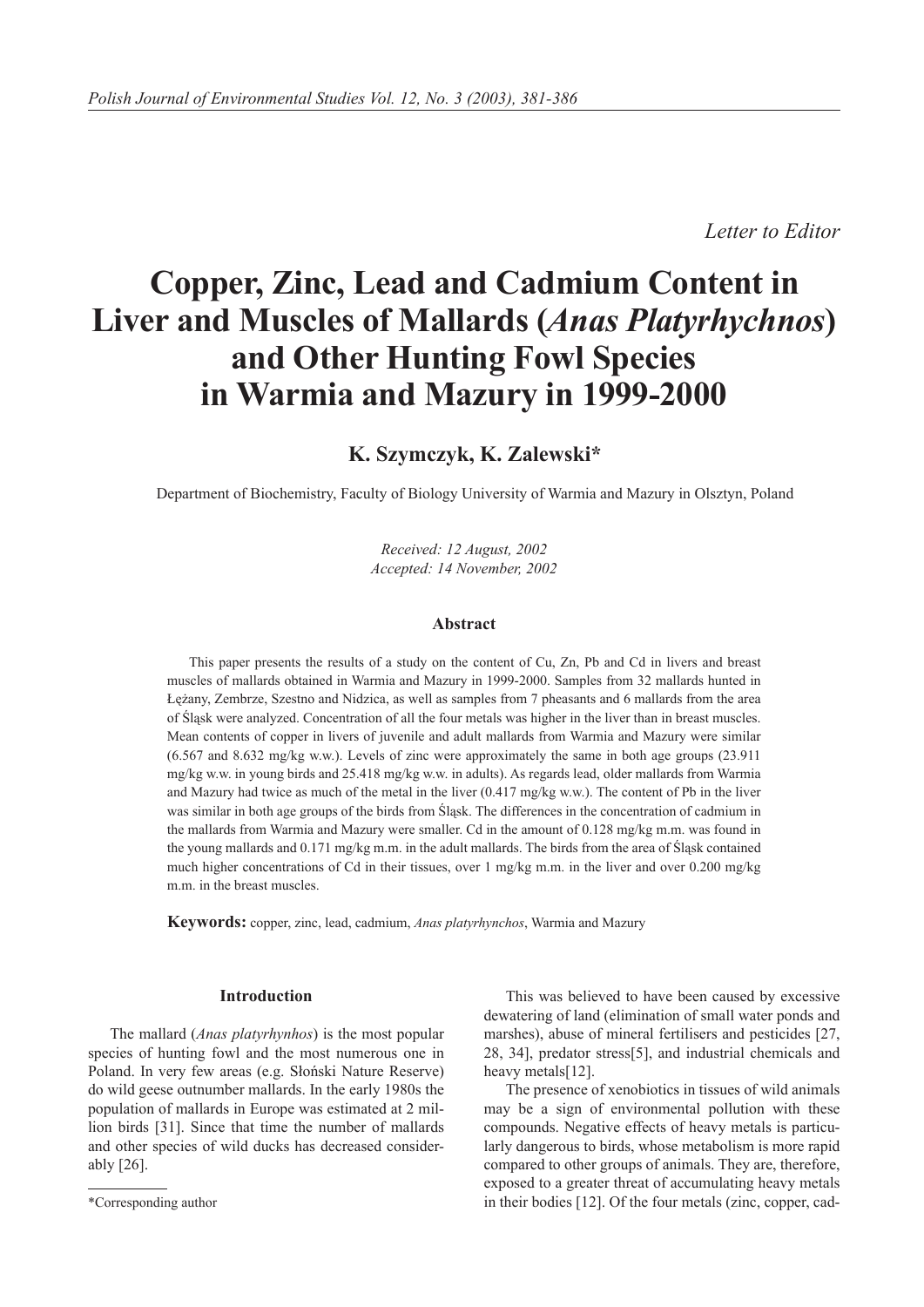*Letter to Editor*

# **Copper, Zinc, Lead and Cadmium Content in Liver and Muscles of Mallards (***Anas Platyrhychnos***) and Other Hunting Fowl Species in Warmia and Mazury in 1999-2000**

# **K. Szymczyk, K. Zalewski\***

Department of Biochemistry, Faculty of Biology University of Warmia and Mazury in Olsztyn, Poland

*Received: 12 August, 2002 Accepted: 14 November, 2002*

# **Abstract**

This paper presents the results of a study on the content of Cu, Zn, Pb and Cd in livers and breast muscles of mallards obtained in Warmia and Mazury in 1999-2000. Samples from 32 mallards hunted in Łężany, Zembrze, Szestno and Nidzica, as well as samples from 7 pheasants and 6 mallards from the area of Śląsk were analyzed. Concentration of all the four metals was higher in the liver than in breast muscles. Mean contents of copper in livers of juvenile and adult mallards from Warmia and Mazury were similar (6.567 and 8.632 mg/kg w.w.). Levels of zinc were approximately the same in both age groups (23.911 mg/kg w.w. in young birds and 25.418 mg/kg w.w. in adults). As regards lead, older mallards from Warmia and Mazury had twice as much of the metal in the liver (0.417 mg/kg w.w.). The content of Pb in the liver was similar in both age groups of the birds from Śląsk. The differences in the concentration of cadmium in the mallards from Warmia and Mazury were smaller. Cd in the amount of 0.128 mg/kg m.m. was found in the young mallards and 0.171 mg/kg m.m. in the adult mallards. The birds from the area of Śląsk contained much higher concentrations of Cd in their tissues, over 1 mg/kg m.m. in the liver and over 0.200 mg/kg m.m. in the breast muscles.

**Keywords:** copper, zinc, lead, cadmium, *Anas platyrhynchos*, Warmia and Mazury

### **Introduction**

The mallard (*Anas platyrhynhos*) is the most popular species of hunting fowl and the most numerous one in Poland. In very few areas (e.g. Słoński Nature Reserve) do wild geese outnumber mallards. In the early 1980s the population of mallards in Europe was estimated at 2 million birds [31]. Since that time the number of mallards and other species of wild ducks has decreased considerably [26].

This was believed to have been caused by excessive dewatering of land (elimination of small water ponds and marshes), abuse of mineral fertilisers and pesticides [27, 28, 34], predator stress[5], and industrial chemicals and heavy metals[12].

The presence of xenobiotics in tissues of wild animals may be a sign of environmental pollution with these compounds. Negative effects of heavy metals is particularly dangerous to birds, whose metabolism is more rapid compared to other groups of animals. They are, therefore, exposed to a greater threat of accumulating heavy metals \*Corresponding author in their bodies [12]. Of the four metals (zinc, copper, cad-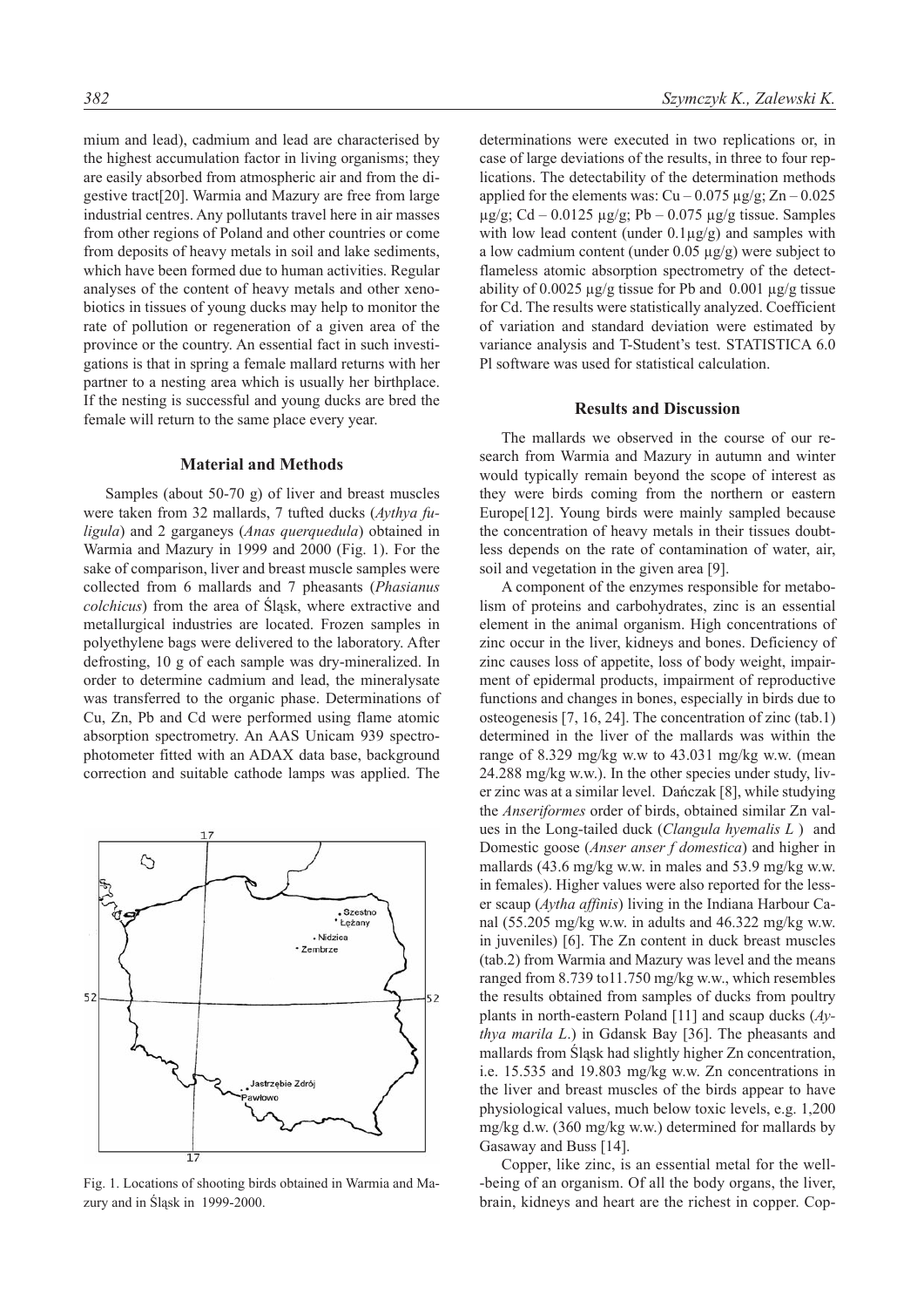mium and lead), cadmium and lead are characterised by the highest accumulation factor in living organisms; they are easily absorbed from atmospheric air and from the digestive tract[20]. Warmia and Mazury are free from large industrial centres. Any pollutants travel here in air masses from other regions of Poland and other countries or come from deposits of heavy metals in soil and lake sediments, which have been formed due to human activities. Regular analyses of the content of heavy metals and other xenobiotics in tissues of young ducks may help to monitor the rate of pollution or regeneration of a given area of the province or the country. An essential fact in such investigations is that in spring a female mallard returns with her partner to a nesting area which is usually her birthplace. If the nesting is successful and young ducks are bred the female will return to the same place every year.

#### **Material and Methods**

Samples (about 50-70 g) of liver and breast muscles were taken from 32 mallards, 7 tufted ducks (*Aythya fuligula*) and 2 garganeys (*Anas querquedula*) obtained in Warmia and Mazury in 1999 and 2000 (Fig. 1). For the sake of comparison, liver and breast muscle samples were collected from 6 mallards and 7 pheasants (*Phasianus colchicus*) from the area of Śląsk, where extractive and metallurgical industries are located. Frozen samples in polyethylene bags were delivered to the laboratory. After defrosting, 10 g of each sample was dry-mineralized. In order to determine cadmium and lead, the mineralysate was transferred to the organic phase. Determinations of Cu, Zn, Pb and Cd were performed using flame atomic absorption spectrometry. An AAS Unicam 939 spectrophotometer fitted with an ADAX data base, background correction and suitable cathode lamps was applied. The



Fig. 1. Locations of shooting birds obtained in Warmia and Mazury and in Śląsk in 1999-2000.

determinations were executed in two replications or, in case of large deviations of the results, in three to four replications. The detectability of the determination methods applied for the elements was:  $Cu - 0.075 \mu g/g$ ;  $Zn - 0.025$  $\mu$ g/g; Cd – 0.0125  $\mu$ g/g; Pb – 0.075  $\mu$ g/g tissue. Samples with low lead content (under  $0.1\mu g/g$ ) and samples with a low cadmium content (under  $0.05 \mu g/g$ ) were subject to flameless atomic absorption spectrometry of the detectability of 0.0025  $\mu$ g/g tissue for Pb and 0.001  $\mu$ g/g tissue for Cd. The results were statistically analyzed. Coefficient of variation and standard deviation were estimated by variance analysis and T-Student's test. STATISTICA 6.0 Pl software was used for statistical calculation.

#### **Results and Discussion**

The mallards we observed in the course of our research from Warmia and Mazury in autumn and winter would typically remain beyond the scope of interest as they were birds coming from the northern or eastern Europe[12]. Young birds were mainly sampled because the concentration of heavy metals in their tissues doubtless depends on the rate of contamination of water, air, soil and vegetation in the given area [9].

A component of the enzymes responsible for metabolism of proteins and carbohydrates, zinc is an essential element in the animal organism. High concentrations of zinc occur in the liver, kidneys and bones. Deficiency of zinc causes loss of appetite, loss of body weight, impairment of epidermal products, impairment of reproductive functions and changes in bones, especially in birds due to osteogenesis [7, 16, 24]. The concentration of zinc (tab.1) determined in the liver of the mallards was within the range of 8.329 mg/kg w.w to 43.031 mg/kg w.w. (mean 24.288 mg/kg w.w.). In the other species under study, liver zinc was at a similar level. Dańczak [8], while studying the *Anseriformes* order of birds, obtained similar Zn values in the Long-tailed duck (*Clangula hyemalis L* ) and Domestic goose (*Anser anser f domestica*) and higher in mallards (43.6 mg/kg w.w. in males and 53.9 mg/kg w.w. in females). Higher values were also reported for the lesser scaup (*Aytha affinis*) living in the Indiana Harbour Canal (55.205 mg/kg w.w. in adults and 46.322 mg/kg w.w. in juveniles) [6]. The Zn content in duck breast muscles (tab.2) from Warmia and Mazury was level and the means ranged from 8.739 to11.750 mg/kg w.w., which resembles the results obtained from samples of ducks from poultry plants in north-eastern Poland [11] and scaup ducks (*Aythya marila L*.) in Gdansk Bay [36]. The pheasants and mallards from Śląsk had slightly higher Zn concentration, i.e. 15.535 and 19.803 mg/kg w.w. Zn concentrations in the liver and breast muscles of the birds appear to have physiological values, much below toxic levels, e.g. 1,200 mg/kg d.w. (360 mg/kg w.w.) determined for mallards by Gasaway and Buss [14].

Copper, like zinc, is an essential metal for the well- -being of an organism. Of all the body organs, the liver, brain, kidneys and heart are the richest in copper. Cop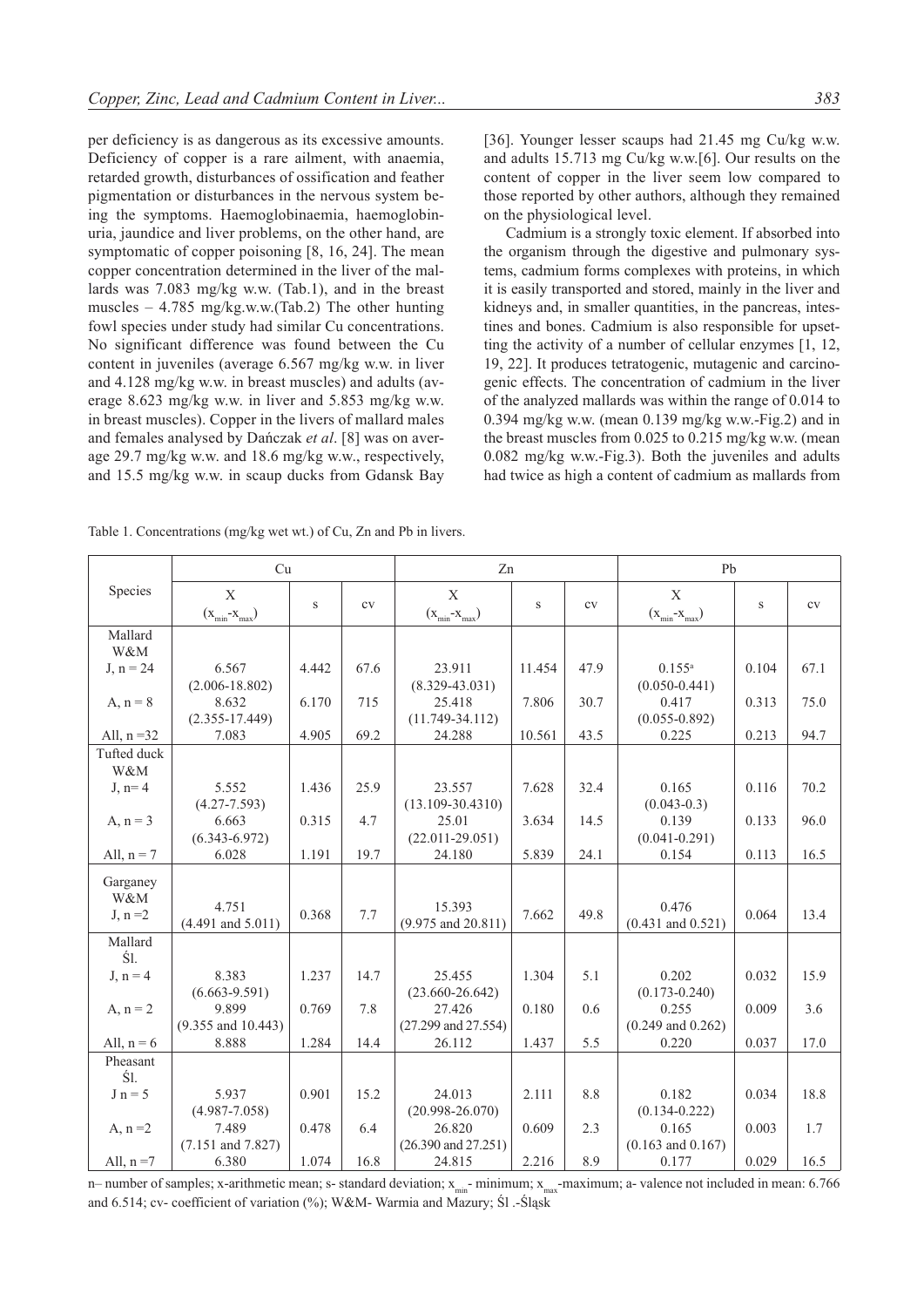per deficiency is as dangerous as its excessive amounts. Deficiency of copper is a rare ailment, with anaemia, retarded growth, disturbances of ossification and feather pigmentation or disturbances in the nervous system being the symptoms. Haemoglobinaemia, haemoglobinuria, jaundice and liver problems, on the other hand, are symptomatic of copper poisoning [8, 16, 24]. The mean copper concentration determined in the liver of the mallards was 7.083 mg/kg w.w. (Tab.1), and in the breast muscles – 4.785 mg/kg.w.w.(Tab.2) The other hunting fowl species under study had similar Cu concentrations. No significant difference was found between the Cu content in juveniles (average 6.567 mg/kg w.w. in liver and 4.128 mg/kg w.w. in breast muscles) and adults (average 8.623 mg/kg w.w. in liver and 5.853 mg/kg w.w. in breast muscles). Copper in the livers of mallard males and females analysed by Dańczak *et al*. [8] was on average 29.7 mg/kg w.w. and 18.6 mg/kg w.w., respectively, and 15.5 mg/kg w.w. in scaup ducks from Gdansk Bay

Cadmium is a strongly toxic element. If absorbed into the organism through the digestive and pulmonary systems, cadmium forms complexes with proteins, in which it is easily transported and stored, mainly in the liver and kidneys and, in smaller quantities, in the pancreas, intestines and bones. Cadmium is also responsible for upsetting the activity of a number of cellular enzymes [1, 12, 19, 22]. It produces tetratogenic, mutagenic and carcinogenic effects. The concentration of cadmium in the liver of the analyzed mallards was within the range of 0.014 to 0.394 mg/kg w.w. (mean 0.139 mg/kg w.w.-Fig.2) and in the breast muscles from 0.025 to 0.215 mg/kg w.w. (mean 0.082 mg/kg w.w.-Fig.3). Both the juveniles and adults had twice as high a content of cadmium as mallards from

Table 1. Concentrations (mg/kg wet wt.) of Cu, Zn and Pb in livers.

|                             | Cu                              |       |      | Zn                                |        |      | Pb                               |       |      |
|-----------------------------|---------------------------------|-------|------|-----------------------------------|--------|------|----------------------------------|-------|------|
| Species                     | X<br>$(x_{min} - x_{max})$      | S     | cv   | X<br>$(x_{min} - x_{max})$        | S      | cv   | X<br>$(x_{min} - x_{max})$       | S     | cv   |
| Mallard<br>W&M              |                                 |       |      |                                   |        |      |                                  |       |      |
| $J, n = 24$                 | 6.567<br>$(2.006 - 18.802)$     | 4.442 | 67.6 | 23.911<br>$(8.329 - 43.031)$      | 11.454 | 47.9 | $0.155^{a}$<br>$(0.050 - 0.441)$ | 0.104 | 67.1 |
| A, $n = 8$                  | 8.632<br>$(2.355 - 17.449)$     | 6.170 | 715  | 25.418<br>$(11.749 - 34.112)$     | 7.806  | 30.7 | 0.417<br>$(0.055 - 0.892)$       | 0.313 | 75.0 |
| All, $n = 32$               | 7.083                           | 4.905 | 69.2 | 24.288                            | 10.561 | 43.5 | 0.225                            | 0.213 | 94.7 |
| Tufted duck<br>W&M          |                                 |       |      |                                   |        |      |                                  |       |      |
| $J, n=4$                    | 5.552<br>$(4.27 - 7.593)$       | 1.436 | 25.9 | 23.557<br>$(13.109 - 30.4310)$    | 7.628  | 32.4 | 0.165<br>$(0.043 - 0.3)$         | 0.116 | 70.2 |
| $A, n = 3$                  | 6.663<br>$(6.343 - 6.972)$      | 0.315 | 4.7  | 25.01<br>$(22.011 - 29.051)$      | 3.634  | 14.5 | 0.139<br>$(0.041 - 0.291)$       | 0.133 | 96.0 |
| All, $n = 7$                | 6.028                           | 1.191 | 19.7 | 24.180                            | 5.839  | 24.1 | 0.154                            | 0.113 | 16.5 |
| Garganey<br>W&M<br>$J, n=2$ | 4.751<br>$(4.491$ and $5.011)$  | 0.368 | 7.7  | 15.393<br>$(9.975$ and $20.811)$  | 7.662  | 49.8 | 0.476<br>$(0.431$ and $0.521)$   | 0.064 | 13.4 |
| Mallard<br>Śl.              |                                 |       |      |                                   |        |      |                                  |       |      |
| $J, n = 4$                  | 8.383<br>$(6.663 - 9.591)$      | 1.237 | 14.7 | 25.455<br>$(23.660 - 26.642)$     | 1.304  | 5.1  | 0.202<br>$(0.173 - 0.240)$       | 0.032 | 15.9 |
| A, $n = 2$                  | 9.899<br>$(9.355$ and $10.443)$ | 0.769 | 7.8  | 27.426<br>$(27.299$ and $27.554)$ | 0.180  | 0.6  | 0.255<br>$(0.249$ and $0.262)$   | 0.009 | 3.6  |
| All, $n = 6$                | 8.888                           | 1.284 | 14.4 | 26.112                            | 1.437  | 5.5  | 0.220                            | 0.037 | 17.0 |
| Pheasant<br>Śl.             |                                 |       |      |                                   |        |      |                                  |       |      |
| $J n = 5$                   | 5.937<br>$(4.987 - 7.058)$      | 0.901 | 15.2 | 24.013<br>$(20.998 - 26.070)$     | 2.111  | 8.8  | 0.182<br>$(0.134 - 0.222)$       | 0.034 | 18.8 |
| A, $n = 2$                  | 7.489<br>$(7.151$ and $7.827)$  | 0.478 | 6.4  | 26.820<br>$(26.390$ and $27.251)$ | 0.609  | 2.3  | 0.165<br>$(0.163$ and $0.167)$   | 0.003 | 1.7  |
| All, $n = 7$                | 6.380                           | 1.074 | 16.8 | 24.815                            | 2.216  | 8.9  | 0.177                            | 0.029 | 16.5 |

n– number of samples; x-arithmetic mean; s- standard deviation;  $x_{min}$ - minimum;  $x_{max}$ -maximum; a- valence not included in mean: 6.766 and 6.514; cv- coefficient of variation (%); W&M- Warmia and Mazury; Śl .-Śląsk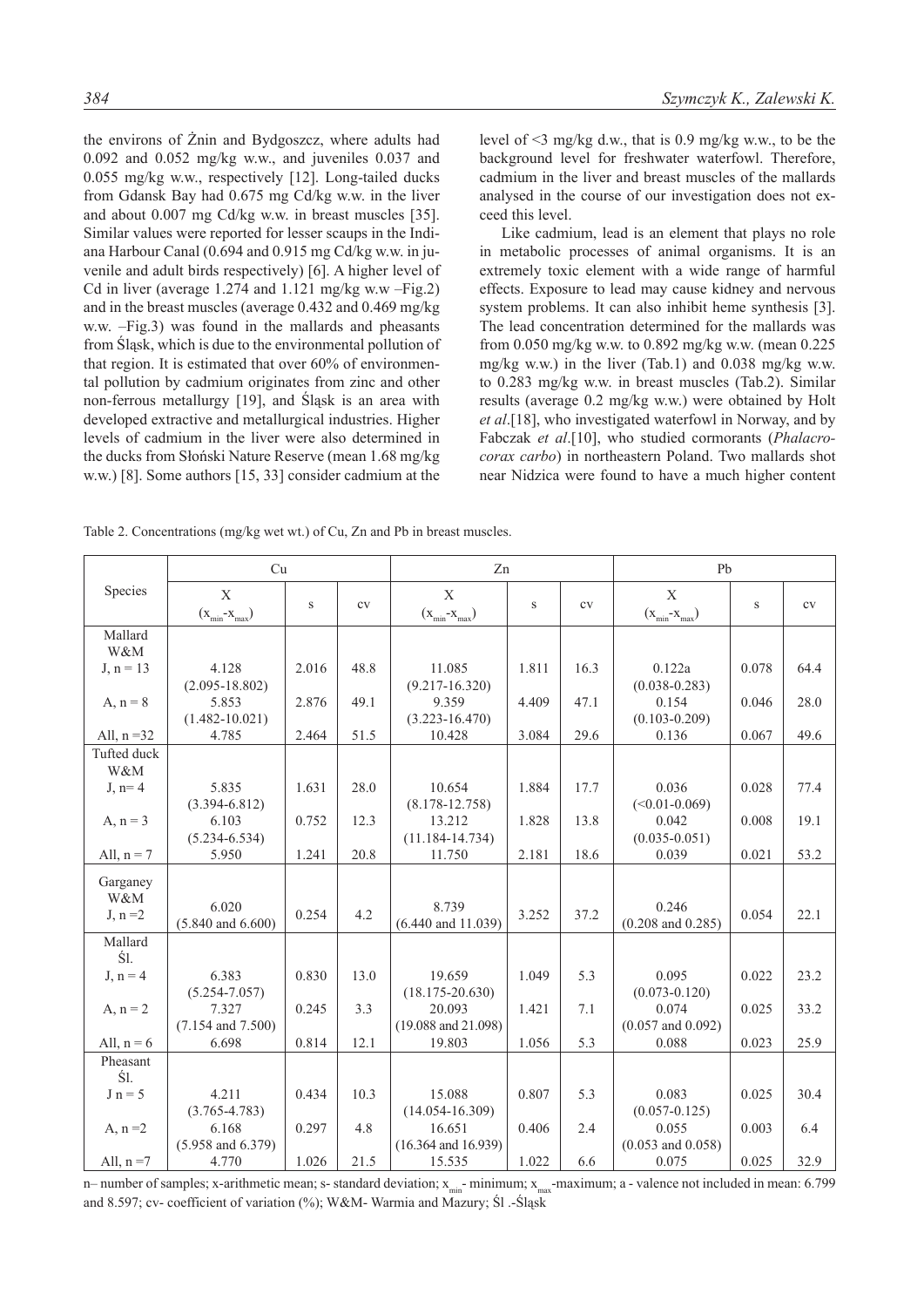the environs of Żnin and Bydgoszcz, where adults had 0.092 and 0.052 mg/kg w.w., and juveniles 0.037 and 0.055 mg/kg w.w., respectively [12]. Long-tailed ducks from Gdansk Bay had 0.675 mg Cd/kg w.w. in the liver and about 0.007 mg Cd/kg w.w. in breast muscles [35]. Similar values were reported for lesser scaups in the Indiana Harbour Canal (0.694 and 0.915 mg Cd/kg w.w. in juvenile and adult birds respectively) [6]. A higher level of Cd in liver (average 1.274 and 1.121 mg/kg w.w –Fig.2) and in the breast muscles (average 0.432 and 0.469 mg/kg w.w. –Fig.3) was found in the mallards and pheasants from Śląsk, which is due to the environmental pollution of that region. It is estimated that over 60% of environmental pollution by cadmium originates from zinc and other non-ferrous metallurgy [19], and Śląsk is an area with developed extractive and metallurgical industries. Higher levels of cadmium in the liver were also determined in the ducks from Słoński Nature Reserve (mean 1.68 mg/kg w.w.) [8]. Some authors [15, 33] consider cadmium at the level of <3 mg/kg d.w., that is 0.9 mg/kg w.w., to be the background level for freshwater waterfowl. Therefore, cadmium in the liver and breast muscles of the mallards analysed in the course of our investigation does not exceed this level.

Like cadmium, lead is an element that plays no role in metabolic processes of animal organisms. It is an extremely toxic element with a wide range of harmful effects. Exposure to lead may cause kidney and nervous system problems. It can also inhibit heme synthesis [3]. The lead concentration determined for the mallards was from 0.050 mg/kg w.w. to 0.892 mg/kg w.w. (mean 0.225 mg/kg w.w.) in the liver (Tab.1) and 0.038 mg/kg w.w. to 0.283 mg/kg w.w. in breast muscles (Tab.2). Similar results (average 0.2 mg/kg w.w.) were obtained by Holt *et al*.[18], who investigated waterfowl in Norway, and by Fabczak *et al*.[10], who studied cormorants (*Phalacrocorax carbo*) in northeastern Poland. Two mallards shot near Nidzica were found to have a much higher content

|                    | Cu                             |       |      | Zn                                |        |      | Pb                             |       |      |
|--------------------|--------------------------------|-------|------|-----------------------------------|--------|------|--------------------------------|-------|------|
| Species            | X<br>$(x_{min} - x_{max})$     | S     | cv   | X<br>$(x_{min} - x_{max})$        | $\,$ S | CV   | X<br>$(x_{min} - x_{max})$     | S     | cv   |
| Mallard<br>W&M     |                                |       |      |                                   |        |      |                                |       |      |
| $J, n = 13$        | 4.128<br>$(2.095 - 18.802)$    | 2.016 | 48.8 | 11.085<br>$(9.217 - 16.320)$      | 1.811  | 16.3 | 0.122a<br>$(0.038 - 0.283)$    | 0.078 | 64.4 |
| A, $n = 8$         | 5.853<br>$(1.482 - 10.021)$    | 2.876 | 49.1 | 9.359<br>$(3.223 - 16.470)$       | 4.409  | 47.1 | 0.154<br>$(0.103 - 0.209)$     | 0.046 | 28.0 |
| All, $n = 32$      | 4.785                          | 2.464 | 51.5 | 10.428                            | 3.084  | 29.6 | 0.136                          | 0.067 | 49.6 |
| Tufted duck<br>W&M |                                |       |      |                                   |        |      |                                |       |      |
| $J, n=4$           | 5.835<br>$(3.394 - 6.812)$     | 1.631 | 28.0 | 10.654<br>$(8.178 - 12.758)$      | 1.884  | 17.7 | 0.036<br>$(<0.01-0.069)$       | 0.028 | 77.4 |
| A, $n = 3$         | 6.103<br>$(5.234 - 6.534)$     | 0.752 | 12.3 | 13.212<br>$(11.184 - 14.734)$     | 1.828  | 13.8 | 0.042<br>$(0.035 - 0.051)$     | 0.008 | 19.1 |
| All, $n = 7$       | 5.950                          | 1.241 | 20.8 | 11.750                            | 2.181  | 18.6 | 0.039                          | 0.021 | 53.2 |
| Garganey           |                                |       |      |                                   |        |      |                                |       |      |
| W&M<br>$J, n=2$    | 6.020<br>$(5.840$ and $6.600)$ | 0.254 | 4.2  | 8.739<br>$(6.440$ and $11.039)$   | 3.252  | 37.2 | 0.246<br>$(0.208$ and $0.285)$ | 0.054 | 22.1 |
| Mallard<br>Ś1.     |                                |       |      |                                   |        |      |                                |       |      |
| $J, n = 4$         | 6.383<br>$(5.254 - 7.057)$     | 0.830 | 13.0 | 19.659<br>$(18.175 - 20.630)$     | 1.049  | 5.3  | 0.095<br>$(0.073 - 0.120)$     | 0.022 | 23.2 |
| A, $n = 2$         | 7.327<br>$(7.154$ and $7.500)$ | 0.245 | 3.3  | 20.093<br>$(19.088$ and $21.098)$ | 1.421  | 7.1  | 0.074<br>$(0.057$ and $0.092)$ | 0.025 | 33.2 |
| All, $n = 6$       | 6.698                          | 0.814 | 12.1 | 19.803                            | 1.056  | 5.3  | 0.088                          | 0.023 | 25.9 |
| Pheasant<br>Ś1.    |                                |       |      |                                   |        |      |                                |       |      |
| $J n = 5$          | 4.211<br>$(3.765 - 4.783)$     | 0.434 | 10.3 | 15.088<br>$(14.054 - 16.309)$     | 0.807  | 5.3  | 0.083<br>$(0.057 - 0.125)$     | 0.025 | 30.4 |
| A, $n = 2$         | 6.168<br>$(5.958$ and $6.379)$ | 0.297 | 4.8  | 16.651<br>$(16.364$ and $16.939)$ | 0.406  | 2.4  | 0.055<br>$(0.053$ and $0.058)$ | 0.003 | 6.4  |
| All, $n = 7$       | 4.770                          | 1.026 | 21.5 | 15.535                            | 1.022  | 6.6  | 0.075                          | 0.025 | 32.9 |

n– number of samples; x-arithmetic mean; s- standard deviation;  $x_{\text{min}}$ - minimum;  $x_{\text{max}}$ -maximum; a - valence not included in mean: 6.799 and 8.597; cv- coefficient of variation (%); W&M- Warmia and Mazury; Śl .-Śląsk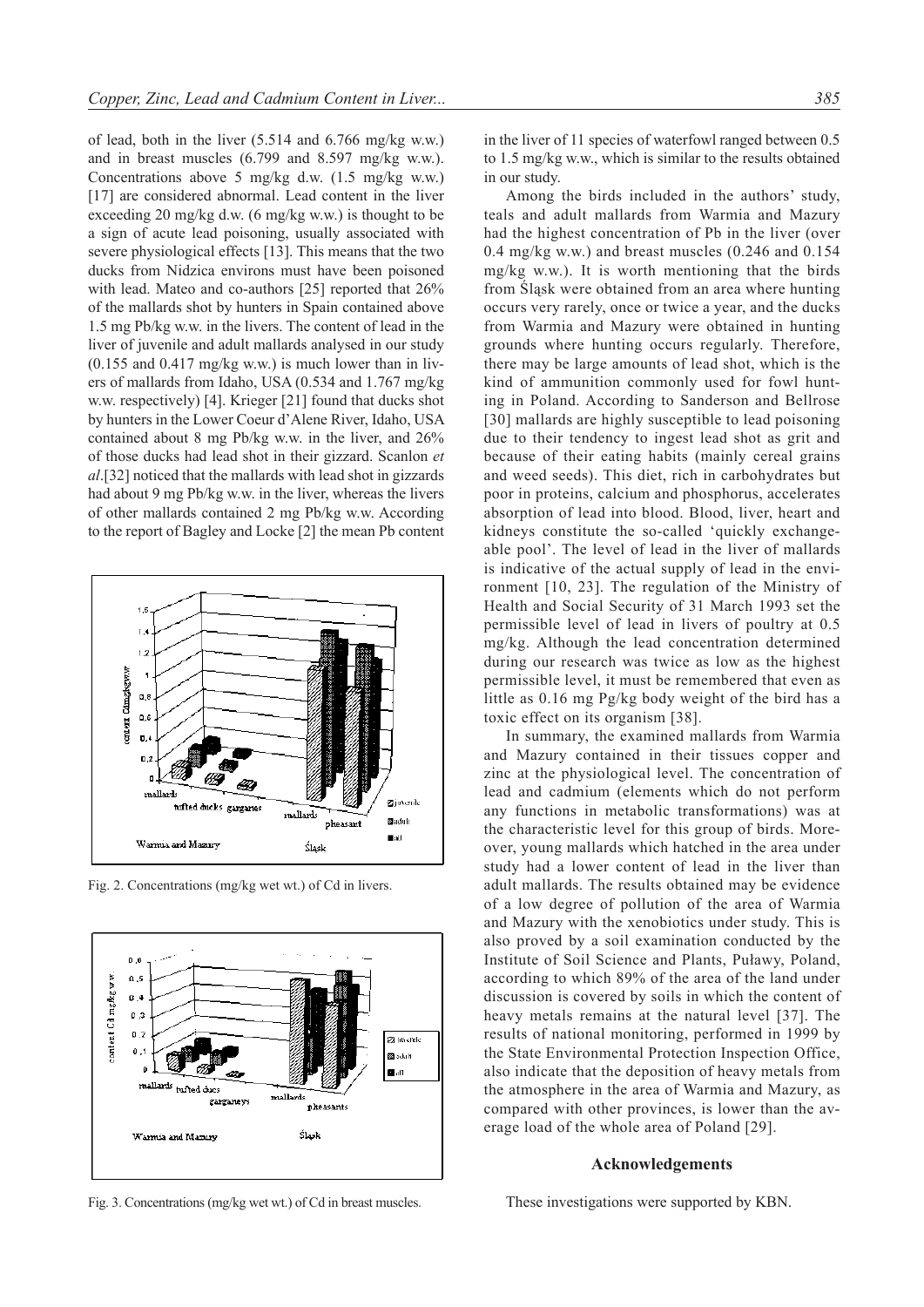of lead, both in the liver (5.514 and 6.766 mg/kg w.w.) and in breast muscles (6.799 and 8.597 mg/kg w.w.). Concentrations above 5 mg/kg d.w. (1.5 mg/kg w.w.) [17] are considered abnormal. Lead content in the liver exceeding 20 mg/kg d.w. (6 mg/kg w.w.) is thought to be a sign of acute lead poisoning, usually associated with severe physiological effects [13]. This means that the two ducks from Nidzica environs must have been poisoned with lead. Mateo and co-authors [25] reported that 26% of the mallards shot by hunters in Spain contained above 1.5 mg Pb/kg w.w. in the livers. The content of lead in the liver of juvenile and adult mallards analysed in our study  $(0.155$  and  $0.417$  mg/kg w.w.) is much lower than in livers of mallards from Idaho, USA (0.534 and 1.767 mg/kg w.w. respectively) [4]. Krieger [21] found that ducks shot by hunters in the Lower Coeur d'Alene River, Idaho, USA contained about 8 mg Pb/kg w.w. in the liver, and 26% of those ducks had lead shot in their gizzard. Scanlon *et al*.[32] noticed that the mallards with lead shot in gizzards had about 9 mg Pb/kg w.w. in the liver, whereas the livers of other mallards contained 2 mg Pb/kg w.w. According to the report of Bagley and Locke [2] the mean Pb content



Fig. 2. Concentrations (mg/kg wet wt.) of Cd in livers.



Fig. 3. Concentrations (mg/kg wet wt.) of Cd in breast muscles.

in the liver of 11 species of waterfowl ranged between 0.5 to 1.5 mg/kg w.w., which is similar to the results obtained in our study.

Among the birds included in the authors' study, teals and adult mallards from Warmia and Mazury had the highest concentration of Pb in the liver (over 0.4 mg/kg w.w.) and breast muscles (0.246 and 0.154 mg/kg w.w.). It is worth mentioning that the birds from Śląsk were obtained from an area where hunting occurs very rarely, once or twice a year, and the ducks from Warmia and Mazury were obtained in hunting grounds where hunting occurs regularly. Therefore, there may be large amounts of lead shot, which is the kind of ammunition commonly used for fowl hunting in Poland. According to Sanderson and Bellrose [30] mallards are highly susceptible to lead poisoning due to their tendency to ingest lead shot as grit and because of their eating habits (mainly cereal grains and weed seeds). This diet, rich in carbohydrates but poor in proteins, calcium and phosphorus, accelerates absorption of lead into blood. Blood, liver, heart and kidneys constitute the so-called 'quickly exchangeable pool'. The level of lead in the liver of mallards is indicative of the actual supply of lead in the environment [10, 23]. The regulation of the Ministry of Health and Social Security of 31 March 1993 set the permissible level of lead in livers of poultry at 0.5 mg/kg. Although the lead concentration determined during our research was twice as low as the highest permissible level, it must be remembered that even as little as 0.16 mg Pg/kg body weight of the bird has a toxic effect on its organism [38].

In summary, the examined mallards from Warmia and Mazury contained in their tissues copper and zinc at the physiological level. The concentration of lead and cadmium (elements which do not perform any functions in metabolic transformations) was at the characteristic level for this group of birds. Moreover, young mallards which hatched in the area under study had a lower content of lead in the liver than adult mallards. The results obtained may be evidence of a low degree of pollution of the area of Warmia and Mazury with the xenobiotics under study. This is also proved by a soil examination conducted by the Institute of Soil Science and Plants, Puławy, Poland, according to which 89% of the area of the land under discussion is covered by soils in which the content of heavy metals remains at the natural level [37]. The results of national monitoring, performed in 1999 by the State Environmental Protection Inspection Office, also indicate that the deposition of heavy metals from the atmosphere in the area of Warmia and Mazury, as compared with other provinces, is lower than the average load of the whole area of Poland [29].

# **Acknowledgements**

These investigations were supported by KBN.